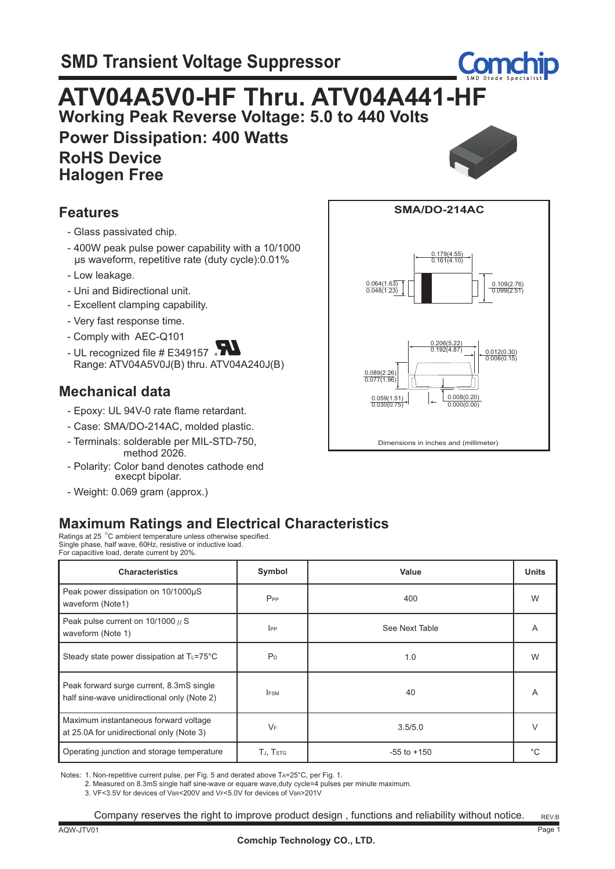

0.109(2.76) 0.099(2.51)

# **ATV04A5V0-HF Thru. ATV04A441-HF**

 **Working Peak Reverse Voltage: 5.0 to 440 Volts Power Dissipation: 400 Watts**

 **RoHS Device Halogen Free**



Dimensions in inches and (millimeter)

0.206(5.22)

 $0.192(4.87)$   $\rightarrow$   $\begin{bmatrix} 0.012(0.30) \\ 0.006(0.15) \end{bmatrix}$ 

 $0.008(0.20)$ 

0.000(0.00)

**SMA/DO-214AC**

 $0.179(4.55)$  $\frac{0.118(4.58)}{0.161(4.10)}$ 

0.064(1.63) 0.048(1.23)

0.030(0.75)

0.089(2.26) 0.077(1.96)

## **Features**

- Glass passivated chip.
- 400W peak pulse power capability with a 10/1000 µs waveform, repetitive rate (duty cycle):0.01%
- Low leakage.
- Uni and Bidirectional unit.
- Excellent clamping capability.
- Very fast response time.
- Comply with AEC-Q101
- UL recognized file  $#E$ 349157  $\bullet$ Range: ATV04A5V0J(B) thru. ATV04A240J(B)

## **Mechanical data**

- Epoxy: UL 94V-0 rate flame retardant.
- Case: SMA/DO-214AC, molded plastic.
- Terminals: solderable per MIL-STD-750, method 2026.
- Polarity: Color band denotes cathode end execpt bipolar.
- Weight: 0.069 gram (approx.)



Ratings at 25 °C ambient temperature unless otherwise specified. Single phase, half wave, 60Hz, resistive or inductive load. For capacitive load, derate current by 20%.

| <b>Characteristics</b>                                                                  | Symbol         | Value           | <b>Units</b> |
|-----------------------------------------------------------------------------------------|----------------|-----------------|--------------|
| Peak power dissipation on 10/1000µS<br>waveform (Note1)                                 | $P_{PP}$       | 400             | W            |
| Peak pulse current on $10/1000 \mu$ S<br>waveform (Note 1)                              | $_{\rm lPP}$   | See Next Table  | A            |
| Steady state power dissipation at T∟=75°C                                               | P <sub>D</sub> | 1.0             | W            |
| Peak forward surge current, 8.3mS single<br>half sine-wave unidirectional only (Note 2) | <b>IFSM</b>    | 40              | A            |
| Maximum instantaneous forward voltage<br>at 25.0A for unidirectional only (Note 3)      | $V_F$          | 3.5/5.0         | $\vee$       |
| Operating junction and storage temperature                                              | TJ, Tstg       | $-55$ to $+150$ | °C           |

Notes: 1. Non-repetitive current pulse, per Fig. 5 and derated above TA=25°C, per Fig. 1.

2. Measured on 8.3mS single half sine-wave or equare wave,duty cycle=4 pulses per minute maximum.

3. VF<3.5V for devices of VBR<200V and VF<5.0V for devices of VBR>201V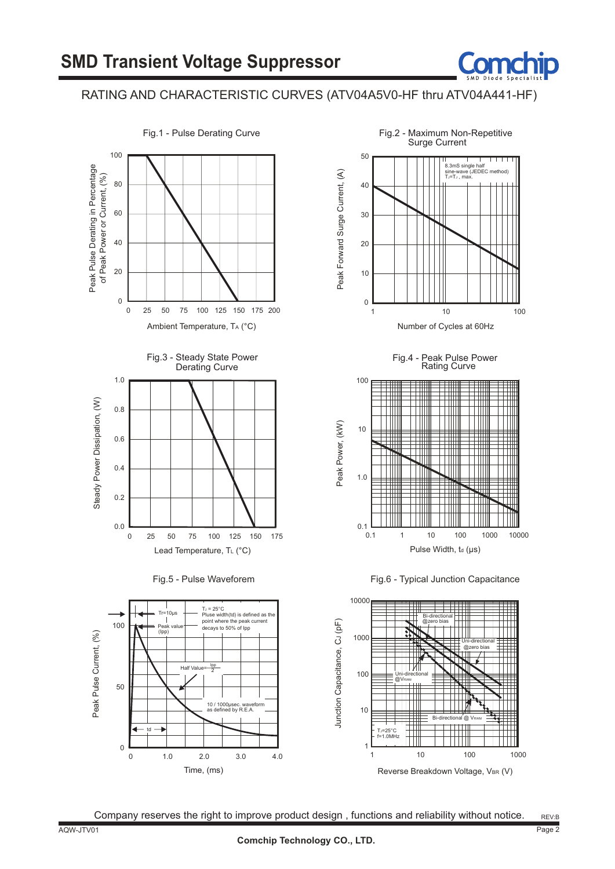### RATING AND CHARACTERISTIC CURVES (ATV04A5V0-HF thru ATV04A441-HF)



Time, (ms)

0 1.0 4.0

2.0 3.0

 $10/1000$ 

pasec. wav<br>d by R.E.A

Fig.2 - Maximum Non-Repetitive Surge Current 50 8.3mS single half<br>sine-wave (JEDEC method)<br>TJ=TJ, max. Peak Forward Surge Current, (A) Peak Forward Surge Current, (A) 40 30 20 10  $\overline{0}$ 1 10 100 Number of Cycles at 60Hz Fig.4 - Peak Pulse Power Derating Curve **Rating Curve** 100







Company reserves the right to improve product design , functions and reliability without notice.

Fig.1 - Pulse Derating Curve

0

td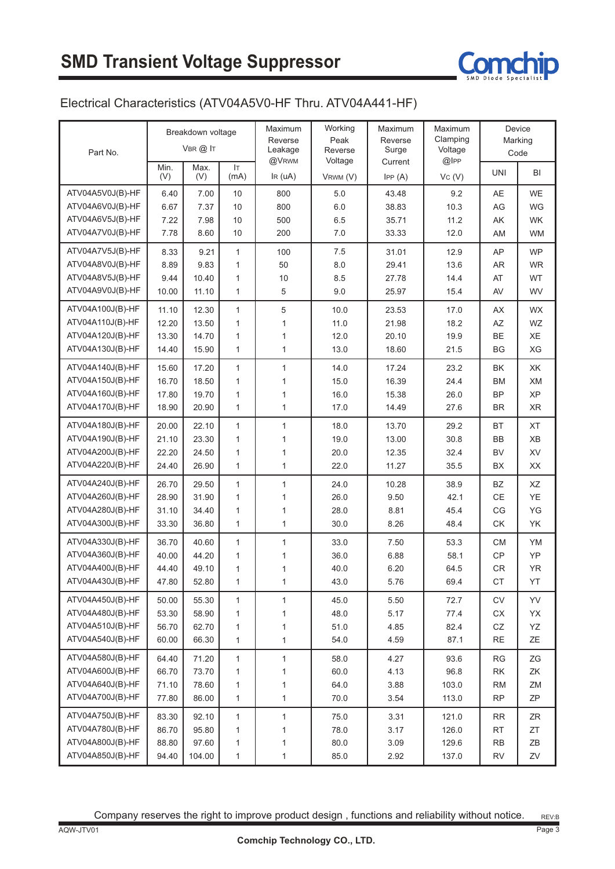

#### Electrical Characteristics (ATV04A5V0-HF Thru. ATV04A441-HF)

|                  | Breakdown voltage<br>$V$ BR $@$ IT<br>Part No. |             | Maximum<br>Reverse<br>Leakage | Working<br>Peak<br>Reverse | Maximum<br>Reverse<br>Surge | Maximum<br>Clamping<br>Voltage |        | Device<br>Marking |           |
|------------------|------------------------------------------------|-------------|-------------------------------|----------------------------|-----------------------------|--------------------------------|--------|-------------------|-----------|
|                  |                                                |             |                               | @VRWM                      | Voltage                     | Current                        | @IPP   |                   | Code      |
|                  | Min.<br>(V)                                    | Max.<br>(V) | <b>IT</b><br>(mA)             | IR (uA)                    | VRWM (V)                    | IPP(A)                         | VC (V) | <b>UNI</b>        | BI        |
| ATV04A5V0J(B)-HF | 6.40                                           | 7.00        | 10                            | 800                        | 5.0                         | 43.48                          | 9.2    | AE                | <b>WE</b> |
| ATV04A6V0J(B)-HF | 6.67                                           | 7.37        | 10                            | 800                        | 6.0                         | 38.83                          | 10.3   | AG                | WG        |
| ATV04A6V5J(B)-HF | 7.22                                           | 7.98        | 10                            | 500                        | 6.5                         | 35.71                          | 11.2   | AK                | WK        |
| ATV04A7V0J(B)-HF | 7.78                                           | 8.60        | 10                            | 200                        | 7.0                         | 33.33                          | 12.0   | AM                | <b>WM</b> |
| ATV04A7V5J(B)-HF | 8.33                                           | 9.21        | $\mathbf{1}$                  | 100                        | 7.5                         | 31.01                          | 12.9   | AP                | <b>WP</b> |
| ATV04A8V0J(B)-HF | 8.89                                           | 9.83        | 1                             | 50                         | 8.0                         | 29.41                          | 13.6   | AR                | <b>WR</b> |
| ATV04A8V5J(B)-HF | 9.44                                           | 10.40       | 1                             | 10                         | 8.5                         | 27.78                          | 14.4   | AT                | <b>WT</b> |
| ATV04A9V0J(B)-HF | 10.00                                          | 11.10       | $\mathbf{1}$                  | 5                          | 9.0                         | 25.97                          | 15.4   | AV                | WV        |
| ATV04A100J(B)-HF | 11.10                                          | 12.30       | $\mathbf{1}$                  | 5                          | 10.0                        | 23.53                          | 17.0   | AX                | <b>WX</b> |
| ATV04A110J(B)-HF | 12.20                                          | 13.50       | $\mathbf{1}$                  | 1                          | 11.0                        | 21.98                          | 18.2   | AZ                | WZ        |
| ATV04A120J(B)-HF | 13.30                                          | 14.70       | 1                             | 1                          | 12.0                        | 20.10                          | 19.9   | BE                | XE        |
| ATV04A130J(B)-HF | 14.40                                          | 15.90       | $\mathbf{1}$                  | 1                          | 13.0                        | 18.60                          | 21.5   | <b>BG</b>         | XG        |
| ATV04A140J(B)-HF | 15.60                                          | 17.20       | $\mathbf{1}$                  | $\mathbf{1}$               | 14.0                        | 17.24                          | 23.2   | BK                | XK        |
| ATV04A150J(B)-HF | 16.70                                          | 18.50       | 1                             | 1                          | 15.0                        | 16.39                          | 24.4   | <b>BM</b>         | XM        |
| ATV04A160J(B)-HF | 17.80                                          | 19.70       | 1                             | 1                          | 16.0                        | 15.38                          | 26.0   | <b>BP</b>         | XP        |
| ATV04A170J(B)-HF | 18.90                                          | 20.90       | $\mathbf{1}$                  | $\mathbf{1}$               | 17.0                        | 14.49                          | 27.6   | <b>BR</b>         | XR        |
| ATV04A180J(B)-HF | 20.00                                          | 22.10       | 1                             | 1                          | 18.0                        | 13.70                          | 29.2   | <b>BT</b>         | XT        |
| ATV04A190J(B)-HF | 21.10                                          | 23.30       | 1                             | $\mathbf{1}$               | 19.0                        | 13.00                          | 30.8   | BB                | XB        |
| ATV04A200J(B)-HF | 22.20                                          | 24.50       | 1                             | 1                          | 20.0                        | 12.35                          | 32.4   | <b>BV</b>         | XV        |
| ATV04A220J(B)-HF | 24.40                                          | 26.90       | $\mathbf{1}$                  | $\mathbf{1}$               | 22.0                        | 11.27                          | 35.5   | <b>BX</b>         | XX        |
| ATV04A240J(B)-HF | 26.70                                          | 29.50       | $\mathbf{1}$                  | $\mathbf{1}$               | 24.0                        | 10.28                          | 38.9   | <b>BZ</b>         | XZ        |
| ATV04A260J(B)-HF | 28.90                                          | 31.90       | $\mathbf{1}$                  | 1                          | 26.0                        | 9.50                           | 42.1   | $\mathsf{CE}$     | YE        |
| ATV04A280J(B)-HF | 31.10                                          | 34.40       | 1                             | 1                          | 28.0                        | 8.81                           | 45.4   | CG                | YG        |
| ATV04A300J(B)-HF | 33.30                                          | 36.80       | $\mathbf{1}$                  | $\mathbf{1}$               | 30.0                        | 8.26                           | 48.4   | <b>CK</b>         | YK        |
| ATV04A330J(B)-HF | 36.70                                          | 40.60       | $\mathbf{1}$                  | 1                          | 33.0                        | 7.50                           | 53.3   | <b>CM</b>         | YM        |
| ATV04A360J(B)-HF | 40.00                                          | 44.20       | 1                             | 1                          | 36.0                        | 6.88                           | 58.1   | CP                | YP        |
| ATV04A400J(B)-HF | 44.40                                          | 49.10       | 1                             | 1                          | 40.0                        | 6.20                           | 64.5   | CR                | <b>YR</b> |
| ATV04A430J(B)-HF | 47.80                                          | 52.80       | 1                             | 1                          | 43.0                        | 5.76                           | 69.4   | CT                | YT        |
| ATV04A450J(B)-HF | 50.00                                          | 55.30       | $\mathbf{1}$                  | 1                          | 45.0                        | 5.50                           | 72.7   | CV                | YV        |
| ATV04A480J(B)-HF | 53.30                                          | 58.90       | $\mathbf{1}$                  | 1                          | 48.0                        | 5.17                           | 77.4   | СX                | YX        |
| ATV04A510J(B)-HF | 56.70                                          | 62.70       | 1                             | 1                          | 51.0                        | 4.85                           | 82.4   | ${\sf CZ}$        | ΥZ        |
| ATV04A540J(B)-HF | 60.00                                          | 66.30       | $\mathbf{1}$                  | 1                          | 54.0                        | 4.59                           | 87.1   | RE                | ΖE        |
| ATV04A580J(B)-HF | 64.40                                          | 71.20       | $\mathbf{1}$                  | 1                          | 58.0                        | 4.27                           | 93.6   | <b>RG</b>         | ZG        |
| ATV04A600J(B)-HF | 66.70                                          | 73.70       | $\mathbf{1}$                  | 1                          | 60.0                        | 4.13                           | 96.8   | $\mathsf{RK}$     | ΖK        |
| ATV04A640J(B)-HF | 71.10                                          | 78.60       | 1                             | 1                          | 64.0                        | 3.88                           | 103.0  | <b>RM</b>         | ZM        |
| ATV04A700J(B)-HF | 77.80                                          | 86.00       | $\mathbf{1}$                  | $\mathbf{1}$               | 70.0                        | 3.54                           | 113.0  | <b>RP</b>         | ΖP        |
| ATV04A750J(B)-HF | 83.30                                          | 92.10       | 1                             | $\mathbf{1}$               | 75.0                        | 3.31                           | 121.0  | <b>RR</b>         | ZR        |
| ATV04A780J(B)-HF | 86.70                                          | 95.80       | 1                             | 1                          | 78.0                        | 3.17                           | 126.0  | <b>RT</b>         | ZT        |
| ATV04A800J(B)-HF | 88.80                                          | 97.60       | 1                             | 1                          | 80.0                        | 3.09                           | 129.6  | <b>RB</b>         | ZΒ        |
| ATV04A850J(B)-HF | 94.40                                          | 104.00      | 1                             | 1                          | 85.0                        | 2.92                           | 137.0  | <b>RV</b>         | ZV        |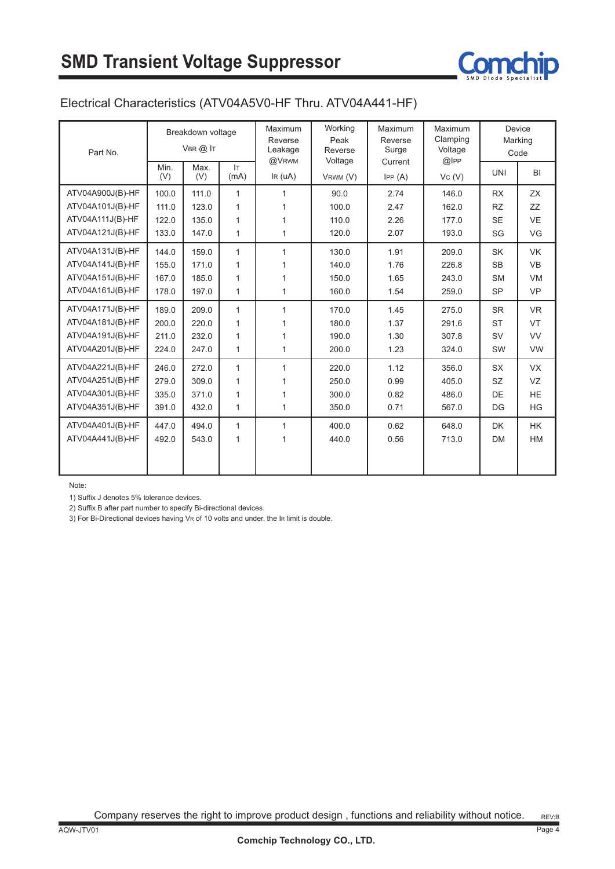

#### Electrical Characteristics (ATV04A5V0-HF Thru. ATV04A441-HF)

| Part No.         | Breakdown voltage<br>$V$ BR $(2)$ IT |             | Maximum<br>Reverse<br>Leakage<br>@VRWM | Working<br>Peak<br>Reverse<br>Voltage | Maximum<br>Reverse<br>Surge<br>Current | Maximum<br>Clamping<br>Voltage<br>$@$ IPP | Device<br>Marking<br>Code |            |           |
|------------------|--------------------------------------|-------------|----------------------------------------|---------------------------------------|----------------------------------------|-------------------------------------------|---------------------------|------------|-----------|
|                  | Min.<br>(V)                          | Max.<br>(V) | IT.<br>(mA)                            | IR (uA)                               | VRWM (V)                               | IPP(A)                                    | Vc(V)                     | <b>UNI</b> | <b>BI</b> |
| ATV04A900J(B)-HF | 100.0                                | 111.0       | $\mathbf{1}$                           | 1                                     | 90.0                                   | 2.74                                      | 146.0                     | <b>RX</b>  | <b>ZX</b> |
| ATV04A101J(B)-HF | 111.0                                | 123.0       | $\mathbf{1}$                           |                                       | 100.0                                  | 2.47                                      | 162.0                     | <b>RZ</b>  | ZZ        |
| ATV04A111J(B)-HF | 122.0                                | 135.0       | 1                                      | 1                                     | 110.0                                  | 2.26                                      | 177.0                     | <b>SE</b>  | <b>VE</b> |
| ATV04A121J(B)-HF | 133.0                                | 147.0       | $\mathbf{1}$                           | 1                                     | 120.0                                  | 2.07                                      | 193.0                     | SG         | VG        |
| ATV04A131J(B)-HF | 144.0                                | 159.0       | $\mathbf{1}$                           | $\mathbf{1}$                          | 130.0                                  | 1.91                                      | 209.0                     | <b>SK</b>  | <b>VK</b> |
| ATV04A141J(B)-HF | 155.0                                | 171.0       | $\mathbf{1}$                           |                                       | 140.0                                  | 1.76                                      | 226.8                     | <b>SB</b>  | <b>VB</b> |
| ATV04A151J(B)-HF | 167.0                                | 185.0       | 1                                      | 1                                     | 150.0                                  | 1.65                                      | 243.0                     | <b>SM</b>  | <b>VM</b> |
| ATV04A161J(B)-HF | 178.0                                | 197.0       | $\mathbf{1}$                           | $\mathbf{1}$                          | 160.0                                  | 1.54                                      | 259.0                     | <b>SP</b>  | <b>VP</b> |
| ATV04A171J(B)-HF | 189.0                                | 209.0       | $\mathbf{1}$                           | $\mathbf{1}$                          | 170.0                                  | 1.45                                      | 275.0                     | <b>SR</b>  | <b>VR</b> |
| ATV04A181J(B)-HF | 200.0                                | 220.0       | 1                                      | 1                                     | 180.0                                  | 1.37                                      | 291.6                     | <b>ST</b>  | <b>VT</b> |
| ATV04A191J(B)-HF | 211.0                                | 232.0       | 1                                      | 1                                     | 190.0                                  | 1.30                                      | 307.8                     | <b>SV</b>  | <b>VV</b> |
| ATV04A201J(B)-HF | 224.0                                | 247.0       | $\mathbf{1}$                           | $\mathbf{1}$                          | 200.0                                  | 1.23                                      | 324.0                     | SW         | <b>VW</b> |
| ATV04A221J(B)-HF | 246.0                                | 272.0       | $\mathbf{1}$                           | $\mathbf{1}$                          | 220.0                                  | 1.12                                      | 356.0                     | <b>SX</b>  | <b>VX</b> |
| ATV04A251J(B)-HF | 279.0                                | 309.0       | 1                                      | 1                                     | 250.0                                  | 0.99                                      | 405.0                     | <b>SZ</b>  | VZ        |
| ATV04A301J(B)-HF | 335.0                                | 371.0       | 1                                      | 1                                     | 300.0                                  | 0.82                                      | 486.0                     | DE         | <b>HE</b> |
| ATV04A351J(B)-HF | 391.0                                | 432.0       | 1                                      | 1                                     | 350.0                                  | 0.71                                      | 567.0                     | DG         | HG        |
| ATV04A401J(B)-HF | 447.0                                | 494.0       | $\mathbf{1}$                           | $\mathbf{1}$                          | 400.0                                  | 0.62                                      | 648.0                     | <b>DK</b>  | <b>HK</b> |
| ATV04A441J(B)-HF | 492.0                                | 543.0       | $\mathbf{1}$                           | 1                                     | 440.0                                  | 0.56                                      | 713.0                     | <b>DM</b>  | <b>HM</b> |
|                  |                                      |             |                                        |                                       |                                        |                                           |                           |            |           |

Note:

1) Suffix J denotes 5% tolerance devices.

2) Suffix B after part number to specify Bi-directional devices.

3) For Bi-Directional devices having VR of 10 volts and under, the IR limit is double.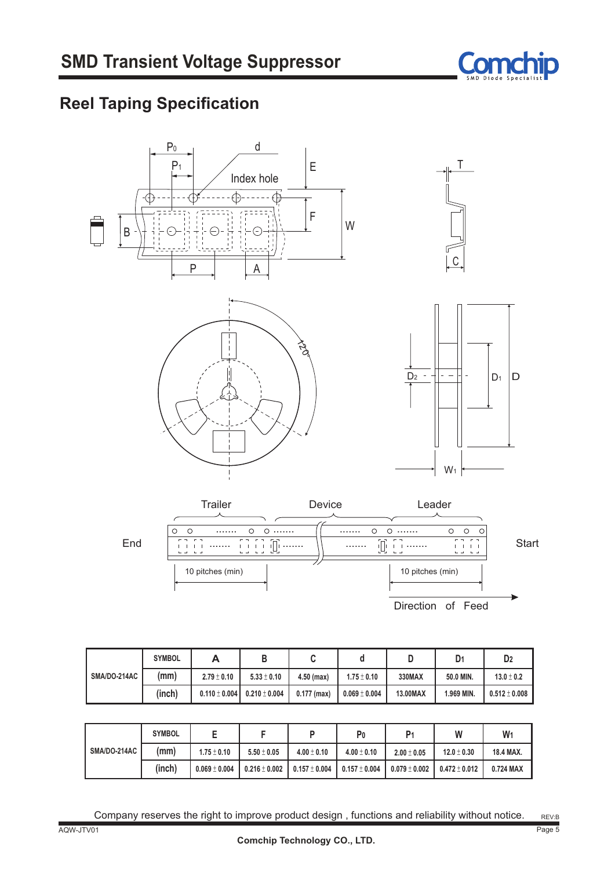

# **Reel Taping Specification**



|              | <b>SYMBOL</b> | A                 | D                 |               |                   | D        | D <sub>1</sub> | D <sub>2</sub>  |
|--------------|---------------|-------------------|-------------------|---------------|-------------------|----------|----------------|-----------------|
| SMA/DO-214AC | (mm)          | $2.79 \pm 0.10$   | $5.33 \pm 0.10$   | $4.50$ (max)  | $1.75 \pm 0.10$   | 330MAX   | 50.0 MIN.      | $13.0 \pm 0.2$  |
|              | (inch)        | $0.110 \pm 0.004$ | $0.210 \pm 0.004$ | $0.177$ (max) | $0.069 \pm 0.004$ | 13.00MAX | 1.969 MIN.     | $0.512\pm0.008$ |

|              | <b>SYMBOL</b> |                   |                   |                   | P <sub>0</sub>            | P <sub>1</sub>    | W                  | W         |
|--------------|---------------|-------------------|-------------------|-------------------|---------------------------|-------------------|--------------------|-----------|
| SMA/DO-214AC | (mm)          | $1.75 \pm 0.10$   | $5.50 \pm 0.05$   | $4.00 \pm 0.10$   | $4.00 \pm 0.10$           | $2.00 \pm 0.05$   | $12.0 \pm 0.30$    | 18.4 MAX. |
|              | (inch)        | $0.069 \pm 0.004$ | $0.216 \pm 0.002$ | $0.157 \pm 0.004$ | $\vert$ 0.157 $\pm$ 0.004 | $0.079 \pm 0.002$ | $10.472 \pm 0.012$ | 0.724 MAX |

Company reserves the right to improve product design , functions and reliability without notice.